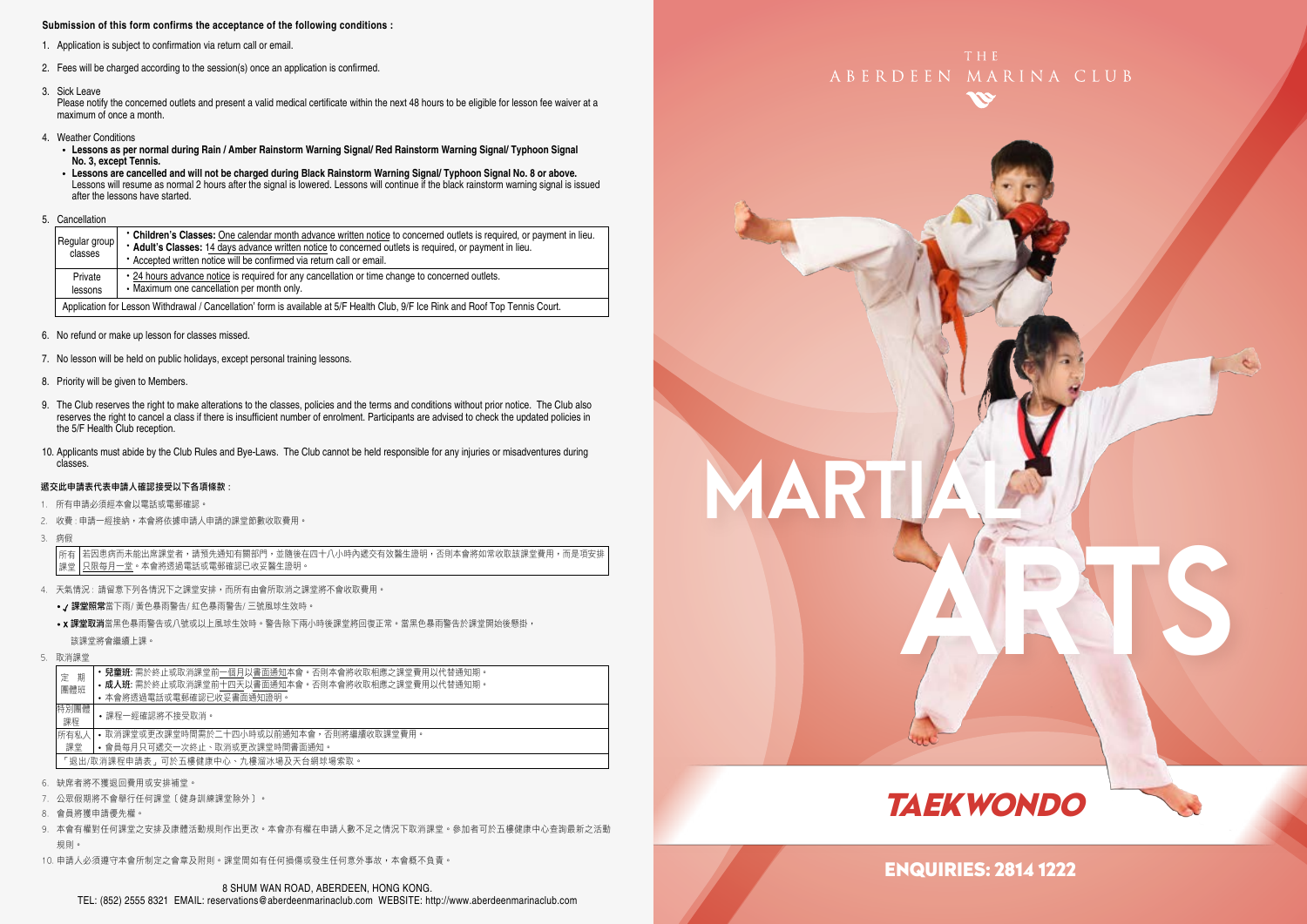#### **Submission of this form confirms the acceptance of the following conditions :**

- 1. Application is subject to confirmation via return call or email.
- 2. Fees will be charged according to the session(s) once an application is confirmed.
- 3. Sick Leave

Please notify the concerned outlets and present a valid medical certificate within the next 48 hours to be eligible for lesson fee waiver at a maximum of once a month.

- 4. Weather Conditions
	- **Lessons as per normal during Rain / Amber Rainstorm Warning Signal/ Red Rainstorm Warning Signal/ Typhoon Signal No. 3, except Tennis.**
- Lessons are cancelled and will not be charged during Black Rainstorm Warning Signal/ Typhoon Signal No. 8 or above.<br>Lessons will resume as normal 2 hours after the signal is lowered. Lessons will continue if the black ra after the lessons have started.
- 5. Cancellation

|  | Regular group<br>classes | • Children's Classes: One calendar month advance written notice to concerned outlets is required, or payment in lieu.<br>* Adult's Classes: 14 days advance written notice to concerned outlets is required, or payment in lieu.<br>* Accepted written notice will be confirmed via return call or email. |
|--|--------------------------|-----------------------------------------------------------------------------------------------------------------------------------------------------------------------------------------------------------------------------------------------------------------------------------------------------------|
|  | Private<br>lessons       | . 24 hours advance notice is required for any cancellation or time change to concerned outlets.<br>• Maximum one cancellation per month only.                                                                                                                                                             |
|  |                          | Application for Lesson Withdrawal / Cancellation' form is available at 5/F Health Club, 9/F Ice Rink and Roof Top Tennis Court.                                                                                                                                                                           |

- 6. No refund or make up lesson for classes missed.
- 7. No lesson will be held on public holidays, except personal training lessons.
- 8. Priority will be given to Members.
- 9. The Club reserves the right to make alterations to the classes, policies and the terms and conditions without prior notice. The Club also reserves the right to cancel a class if there is insufficient number of enrolment. Participants are advised to check the updated policies in the 5/F Health Club reception.
- 10. Applicants must abide by the Club Rules and Bye-Laws. The Club cannot be held responsible for any injuries or misadventures during classes.

#### 遞交此申請表代表申請人確認接受以下各項條款 :

- 1. 所有申請必須經本會以電話或電郵確認。
- 2. 收費 : 申請一經接納,本會將依據申請人申請的課堂節數收取費用。
- 3. 病假

若因患病而未能出席課堂者,請預先通知有關部門,並隨後在四十八小時內遞交有效醫生證明,否則本會將如常收取該課堂費用,而是項安排 只限每月一堂。本會將透過電話或電郵確認已收妥醫生證明。 所有 課堂

- 4. 天氣情況 : 請留意下列各情況下之課堂安排,而所有由會所取消之課堂將不會收取費用。
	- / 課堂照常當下雨/ 黃色暴雨警告/ 紅色暴雨警告/ 三號風球生效時。
	- x 課堂取消當黑色暴雨警告或八號或以上風球生效時。警告除下兩小時後課堂將回復正常。當黑色暴雨警告於課堂開始後懸掛, 該課堂將會繼續上課。
- 5. 取消課堂

| 期                                   | <b>兒童班:</b> 需於終止或取消課堂前一個月以書面通知本會。否則本會將收取相應之課堂費用以代替通知期。 |  |  |  |  |  |
|-------------------------------------|--------------------------------------------------------|--|--|--|--|--|
| 定                                   | • 成人班: 需於終止或取消課堂前十四天以書面通知本會。否則本會將收取相應之課堂費用以代替通知期。      |  |  |  |  |  |
| 團體班                                 | • 本會將透過電話或電郵確認已收妥書面通知諍明。                               |  |  |  |  |  |
| 特別團體<br>課程                          | •課程一經確認將不接受取消。                                         |  |  |  |  |  |
| 所有私人                                | • 取消課堂或更改課堂時間需於二十四小時或以前通知本會,否則將繼續收取課堂費用。               |  |  |  |  |  |
| 課堂                                  | • 會員每月只可遞交一次終止、取消或更改課堂時間書面通知。                          |  |  |  |  |  |
| 「狠出/取消課程申請表,可於五樓健康中心、九樓溜冰場及天台網球場索取。 |                                                        |  |  |  |  |  |

- 6. 缺席者將不獲退回費用或安排補堂。
- 7. 公眾假期將不會舉行任何課堂﹝健身訓練課堂除外﹞。
- 8. 會員將獲申請優先權。
- 9. 本會有權對任何課堂之安排及康體活動規則作出更改。本會亦有權在申請人數不足之情況下取消課堂。參加者可於五樓健康中心查詢最新之活動 規則。
- 10. 申請人必須遵守本會所制定之會章及附則。課堂間如有任何損傷或發生任何意外事故,本會概不負責。





MART

ARTS



## ENQUIRIES: 2814 1222